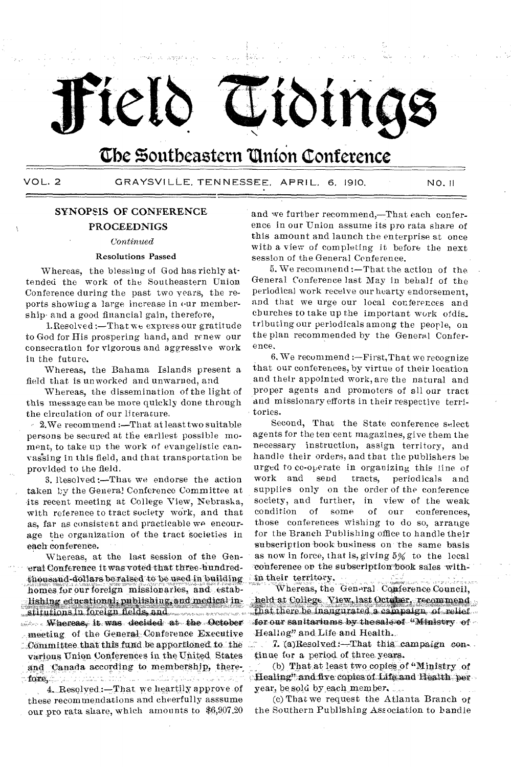

## The Southeastern Union Conference

VOL. 2 GRAYSVILLE, TENNESSEE, APRIL, 6, 1910. NO. !I

## SYNOPSIS OF CONFERENCE PROCEEDNIGS

### *Continued*

### Resolutions Passed

Whereas, the blessing of God has richly attended the work of the Southeastern Union. Conference during the past two years, the reports showing a large increase in our membership• and a good financial gain, therefore,

1.Resolved :—That we express our gratitude to God for His prospering hand, and renew our consecration for vigorous and aggressive work in the future.

Whereas, the Bahama Islands present a field that is unworked and unwarned, and

Whereas, the dissemination of the light of this message can be more quickly done through the circulation of our literature.

2.We recommend :—That at least two suitable persons be secured at the earliest possible moment, to take up the work of evangelistic canvassing in this field, and that transportation be provided to the field.

3. Resolved :—That we endorse the action taken by the General Conference Committee at its recent meeting at College View, Nebraska, with reference to tract society work, and that as, far as consistent and practicable we encourage the organization of the tract societies in each conference.

Whereas, at the last session of the General Conference it was voted that three-hundredheusand-dollars be raised to be used in building:, homes for our foreign missionaries, and estab- $\therefore$  lishing educational, publishing, and medical institutions in foreign fields, and Whereas, it was decided at the October , meeting of the General Conference Executive . Committee that this fund be apportioned, to the various Union Conferences in. the United States and Canada according to membership, therer**folio**, in particular and the town we shall be what in the study

4. Resolved:-That we heartily approve of these recommendations and cheerfully asssume our pro rata share, which amounts to \$6,997,20

and we further recommend,—That each conference in our Union assume its pro rata share of this amount and launch the enterprise at once with a view of completing it before the next session of the General Conference.

5. We recommend :—That the action of the General Conference last May in behalf of the periodical work receive our hearty endorsement, and that we urge our local conferences and churches to take up the important work ofdis\_ tributing our periodicals among the people, on the plan recommended by the General Conference.

6. We recommend :—First,That we recognize that our conferences, by virtue of their location and their appointed work, are the natural and proper agents and promoters of all our tract and missionary efforts in their respective territories.

Second, That the State conference select agents for the ten cent magazines, give them the necessary instruction, assign territory, and handle their orders, and that the publishers be urged to co-operate in organizing this line of work and send tracts, periodicals and supplies only on the order of the conference society, and further, in view of the weak condition of some of our conferences, those conferences wishing to do so, arrange for the Branch Publishing office to handle their subscription book business on the same basis as now in force, that is, giving 5% to the local conference on the subscription book sales within their territory.

Whereas, the General Conference Council, held at College View, last October, recommend that there be inaugurated a campaign of relief. for our san itariums by the sale of  $\cdot$  Ministry  $\cdot$  of  $\cdot$ Healing" and Life and Health.

7. (a)Resolved: $-That this$  campaign continue for a period of three years.

(b) That at least two copies of "Ministry of Healing" and five copies of Life and Health, per year, be sold by each member.

(c) That we request the Atlanta Branch of the Southern Publishing Association to handle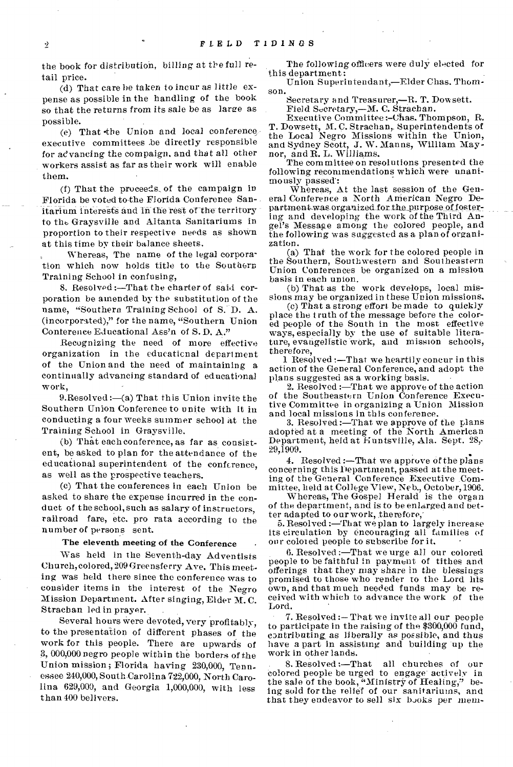the book for distribution, billing at the full retail price.

(d) That care be taken to incur as little expense as possible in the handling of the book so that the returns from its sale be as large as possible.

(e) That •the Union and local conference, executive committees be directly responsible for advancing the compaign, and that all other workers assist as far as their work will enable them.

(f) That the proceed& of the campaign in Florida be voted to-the Florida Conference Sanitarium interests and in the rest of the territory to fiat, Graysville and Altanta Sanitariums in proportion to their respective needs as shown at this time by their balance sheets.

Whereas, The name of the legal corporation which now holds title to the Southern Training School in confusing,

8. Resolved :—That the charter of said corporation be amended by the substitution of the name, "Southern Training School of S. D. A. (incorporated)," for the name, "Southern Union Conference Educational Ass'n of S.D. A."

Recognizing the need of more effective organization in the educational department of the Union and the need of maintaining a continually advancing standard of educational work,

9. Resolved: $-(a)$  That this Union invite the Southern Union Conference to unite with it in conducting a four weeks summer school at the Training School in Graysville.

(b) That each conference, as far as consistent, be asked to plan for the attendance of the educational superintendent of the conference, as well as the prospective teachers.

(c) That the conferences in each Union be asked to share the expense incurred in the conduct of the school, such as salary of instructors, railroad fare, etc. pro rata according to the number of persons sent.

## The eleventh meeting of the Conference

Was held in the Seventh-day Adventists Church, colored, 209 Greensferry Ave, This meeting was held there since the conference was to consider items in the interest of the Negro Mission Department. After singing, Elder M. C. Strachan led in prayer. .

Several hours were devoted, very profitably, to the presentation of different phases of the work for this people. There are upwards of 3, 000,000 negro people within the borders of the Union mission; Florida having 230,000, Tennessee 240,000, South-Carolina 722,000, North Carolina 629,000, and Georgia 1,000,000, with less than 400 belivers.

The following officers were duly elected for this department :

Union Superintendant,—Elder Chas. Thomson.

Secretary and Treasurer,—R. T. Dow sett. Field Secretary,—M. C. Strachan.

Executive Committee :-Chas. Thompson, R. T. Dowsett, M. C. Strachan, Superintendents of the Local Negro Missions within the Union, and Sydney Scott, J. W. Manns, William Maynor, and R. L. Williams.

The committee on resolutions presented the following recommendations which were unanimously passed:

Whereas, At the last session of the General Conference a North American Negro Department-was organized for the purpose of fostering and developing the work of the Third Angel's Message among the colored people, and the following was suggested as a plan of organization.

(a) That the work for the colored people in the Southern, Southwestern and Southeastern Union Conferences be organized on a mission basis in each union.

(b) That as the work develops, local missions may be organized in these Union missions.

(c) That a strong effort. bemade to quickly place the truth of the message before the colored people of the South in the most effective ways, especially by the use of suitable literature, evangelistic work, and mission schools, therefore,

1 Resolved:—That we heartily concur in this action of the General Conference, and adopt the plans suggested as a working basis.

2. Resolved :—That we approve of the action of the Southeastern Union Conference Executive Committee in organizing a Union Mission and local missions in this conference.

3. Resolved :—That we approve of the plans adopted at a meeting of the North American Department, held at Huntsville, Ala. Sept. 28,- 29,1909.

4. Resolved :—That we approve of the plans concerning this Department, passed at the meeting of the General Conference Executive Com-

mittee, held at College View, Neb., October, 1906. Whereas, The Gospel Herald is the organ of the department, and is to be enlarged and better adapted to our work, therefore,

5. Resolved :—That we plan to largely increase its circulation by encouraging all families of our colored people to subscribe for it.

6. Resolved :—That we urge all our colored people to be faithful in payment of tithes and offerings that they may share in the blessings promised to those who render to the Lord his own, and that much needed funds may be received with which to advance the work of the Lord.

7. Resolved :— That we invite all our people to participate in the raising of the \$300,000 fund, contributing as liberally as possible, and thus have a part in assisting and building up the work in other lands.

. 8. Resolved :—That all. churches of our colored people be urged to engage actively in the sale of the book, "Ministry of Healing," being sold for the relief of our sanitariums, and that they endeavor to sell six books per mem-

 $\dot{2}$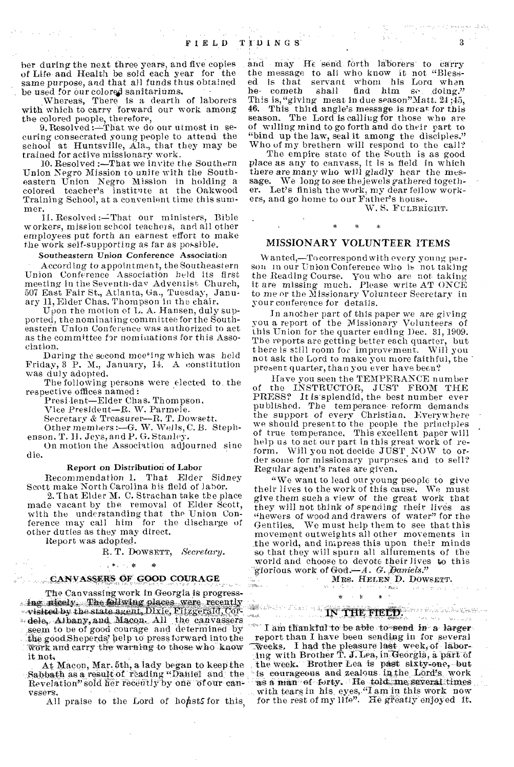ber during the next three years, and five copies of Life and Health be sold each year for the same purpose, and that *all* funds thus obtained be used for our colored sanitariums.

Whereas, There is a dearth of laborers with which to carry forward our work among the colored people, therefore,

9. Resolved: That we do our utmost in securing consecrated young people to attend the school at Huntsville, Ala., that they may be trained for active missionary work.

10. Resolved :—That we invite the Southern Union Negro Mission to unite with the Southeastern Union Negro Mission in holding a colored teacher's institnte at the Oakwood. Training School, at a convenient time this summer.

11. Resolved :- That our ministers, Bible workers, mission school teachers, and all other employees put forth an earnest effort to make the work self-supporting as far as possible.

#### Southeastern Union Conference Association

According to appointment, the Southeastern Union Conference Association held its first meeting in the Seventh-day Adventist Church, 507 East Fair St., Atlanta, Ga., Tuesday, January 11, Elder Chas. Thompson in the chair.

Upon the motion of L. A. Hansen, duly supported, the nominating committee for the Southeastern Union Conference was authorized to act as the committee for nominations for this Association.

Daring the second mee<sup>ting</sup> which was held Friday, 3 P. M., January, 14. A constitution was duly adopted.

The following persons were elected to. the respective offices named i

Presi lent—Elder Chas. Thompson,

Vice President—R. W. Parmele.

Secretary & Treasurer—R. T. Dowsett.

Other members :- G. W. Wells, C. B. Steph-

enson. T. II. Jeys, and P. G. Stanley.

On motion the Association adjourned sine die.

#### Report on Distribution of Labor

Recommendation 1. That Elder Sidney Scott make North Carolina his field of labor.

2.1 hat Elder M. C. Strachan take the place made vacant by the removal of Elder Scott, with the understanding that the Union Conference may call him for the discharge of other duties as they may direct.

Report was adopted.

R. T. DowsErr, *Secretary.* 

### CANVASSERS OF GOOD COURAGE

2. 法典公司 聚

The Canvassing work in Georgia is progressing ricely. The follwing places were recently-•,,,visited by the state agent, Dixie, Fitzgerald, Cey- $\frac{4.44}{4.4}$ . We can consider the cap variation of  $\frac{1}{4}$  . IN THE FIELD: seem to be of good courage and determined by the good.Sheperds' help to press forward into the Ivork and carry the' warning to those who know it not.

At Macon, Mar. 5th, a lady began to keep the Sabbath as a result of reading "Daniel and the Revelation" sold her recently by one of our canvssers.

All praise to the Lord of honsts for this,

and may He send forth laborers to carry the message to all who know it not "Blessed is that servant whom his Lora when<br>he cometh shall find him se doing." find him so, doing." This is, "giving meat in due season" Matt.  $24;45$ , 46. This third angle's message is meat for this season. The Lord is calling for those who are of willing mind to go forth and do their part to "bind up the law, seal it among the disciples." Who of my brethern will respond to the call?

The empire state of the South is as good place as any to canvass, it is a field in which there are many who will gladly hear the mes-<br>sage. We long to see the lewels gathered togeth-We long to see the jewels gathered together. Let's finish the work, my dear fellow workers, and go home to our Father's house.

W. S. FULBRIGHT.

### MISSIONARY VOLUNTEER ITEMS

 $\star$ 

W anted,—To correspond with every you ng person in our Union Conference who is not taking the Reading Course. you who are not taking it are missing much. Please write AT ONCE to me or the Missionary Volunteer Secretary in your conference for details.

In another part of this paper we are giving you a report of the Missionary Volunteers of this Union for the quarter ending Dee. 31, 1909. The reports are getting better each quarter, but there is still room foc improvement. Will you not ask the Lord to make you more faithful, the present quarter, than you ever have been?

Have you seen the TEMPERANCE number of the INSTRUCTOR, JUST FROM THE PRESS? It is'splendid, the best number ever published. The temperance reform demands the support of every Christian. Everywhere we should present to the people the principles of true temperance. This excellent paper will help us to act our part in this great work of reform. Will you not decide JUST. NOW to order some for missionary purposes and to sell? Regular agent's rates are given.

"We want to lead our young people to give their lives to the work of this cause. We must give them such a view of the great work that they will not think of spending their lives as "hewers of wood and drawers of water" for the Gentiles. We must help them to see that this movement outweights all other movements in .the world, and impress this upon their minds so that they will spurn all allurements of the world and choose to devote their lives to this giorious work of God. -A. *G. Paniels.*"

*MRS. HELEN<sub>.</sub>D. DOWSETT.* 

## k

 $\star$ 

I am thankful to be able to send in a larger report than I have been sending in for several Tweeks. I had the pleasure last week, of labor-<br>ing with Brother T. J. Lea, in Georgia, a part of the week. Brother Lea is past sixty-one, but is courageous and zealous in the Lord's work as a man of forty. He told me several times with tears in his, eyes, "I am in this work now for the rest of my life". He greatly enjoyed it.